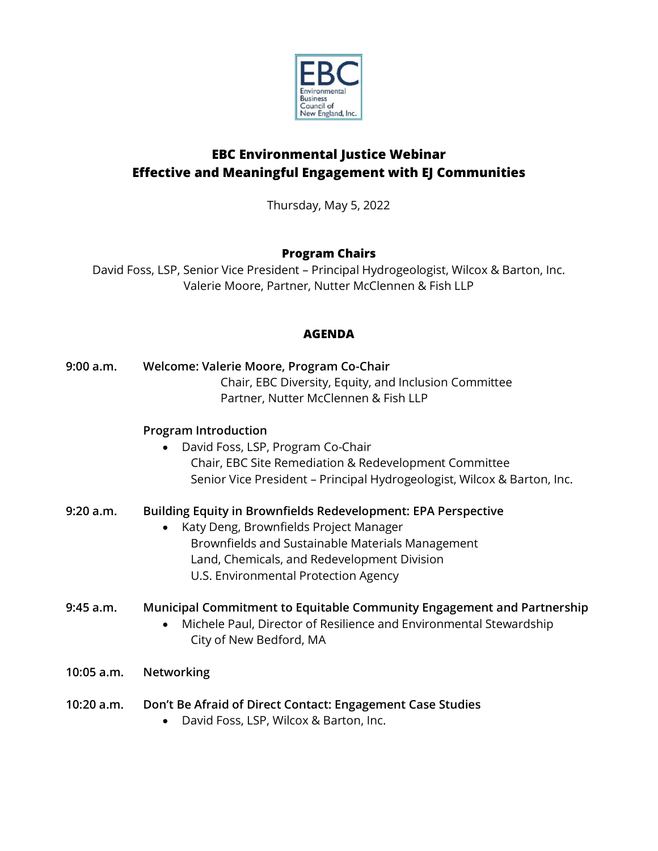

# **EBC Environmental Justice Webinar Effective and Meaningful Engagement with EJ Communities**

Thursday, May 5, 2022

### **Program Chairs**

David Foss, LSP, Senior Vice President – Principal Hydrogeologist, Wilcox & Barton, Inc. Valerie Moore, Partner, Nutter McClennen & Fish LLP

### **AGENDA**

**9:00 a.m. Welcome: Valerie Moore, Program Co-Chair** Chair, EBC Diversity, Equity, and Inclusion Committee Partner, Nutter McClennen & Fish LLP

### **Program Introduction**

• David Foss, LSP, Program Co-Chair Chair, EBC Site Remediation & Redevelopment Committee Senior Vice President – Principal Hydrogeologist, Wilcox & Barton, Inc.

## **9:20 a.m. Building Equity in Brownfields Redevelopment: EPA Perspective**

• Katy Deng, Brownfields Project Manager Brownfields and Sustainable Materials Management Land, Chemicals, and Redevelopment Division U.S. Environmental Protection Agency

## **9:45 a.m. Municipal Commitment to Equitable Community Engagement and Partnership**

- Michele Paul, Director of Resilience and Environmental Stewardship City of New Bedford, MA
- **10:05 a.m. Networking**
- **10:20 a.m. Don't Be Afraid of Direct Contact: Engagement Case Studies**
	- David Foss, LSP, Wilcox & Barton, Inc.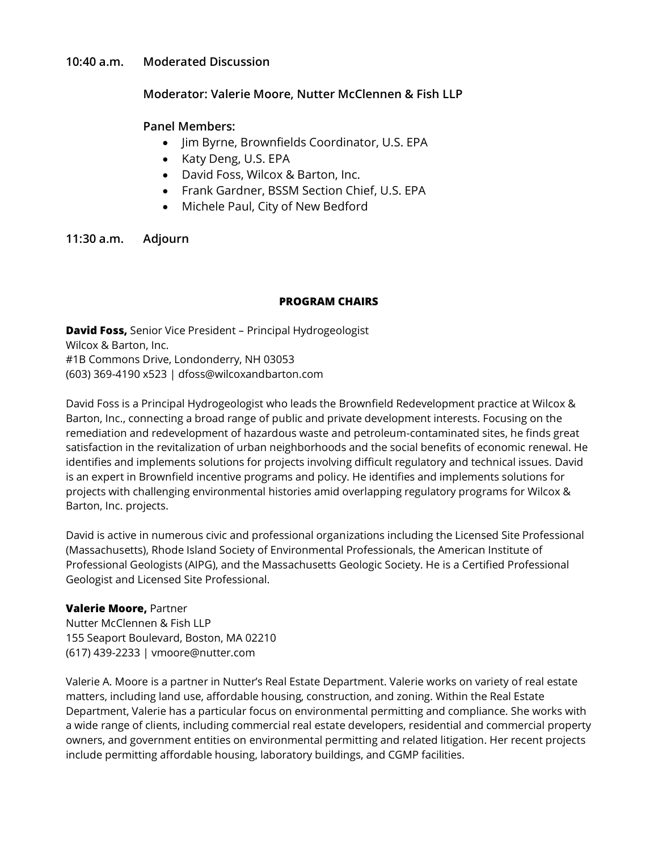#### **10:40 a.m. Moderated Discussion**

### **Moderator: Valerie Moore, Nutter McClennen & Fish LLP**

#### **Panel Members:**

- Jim Byrne, Brownfields Coordinator, U.S. EPA
- Katy Deng, U.S. EPA
- David Foss, Wilcox & Barton, Inc.
- Frank Gardner, BSSM Section Chief, U.S. EPA
- Michele Paul, City of New Bedford

**11:30 a.m. Adjourn**

#### **PROGRAM CHAIRS**

**David Foss,** Senior Vice President – Principal Hydrogeologist Wilcox & Barton, Inc. #1B Commons Drive, Londonderry, NH 03053 (603) 369-4190 x523 | dfoss@wilcoxandbarton.com

David Foss is a Principal Hydrogeologist who leads the Brownfield Redevelopment practice at Wilcox & Barton, Inc., connecting a broad range of public and private development interests. Focusing on the remediation and redevelopment of hazardous waste and petroleum-contaminated sites, he finds great satisfaction in the revitalization of urban neighborhoods and the social benefits of economic renewal. He identifies and implements solutions for projects involving difficult regulatory and technical issues. David is an expert in Brownfield incentive programs and policy. He identifies and implements solutions for projects with challenging environmental histories amid overlapping regulatory programs for Wilcox & Barton, Inc. projects.

David is active in numerous civic and professional organizations including the Licensed Site Professional (Massachusetts), Rhode Island Society of Environmental Professionals, the American Institute of Professional Geologists (AIPG), and the Massachusetts Geologic Society. He is a Certified Professional Geologist and Licensed Site Professional.

#### **Valerie Moore,** Partner

Nutter McClennen & Fish LLP 155 Seaport Boulevard, Boston, MA 02210 (617) 439-2233 | vmoore@nutter.com

Valerie A. Moore is a partner in Nutter's Real Estate Department. Valerie works on variety of real estate matters, including land use, affordable housing, construction, and zoning. Within the Real Estate Department, Valerie has a particular focus on environmental permitting and compliance. She works with a wide range of clients, including commercial real estate developers, residential and commercial property owners, and government entities on environmental permitting and related litigation. Her recent projects include permitting affordable housing, laboratory buildings, and CGMP facilities.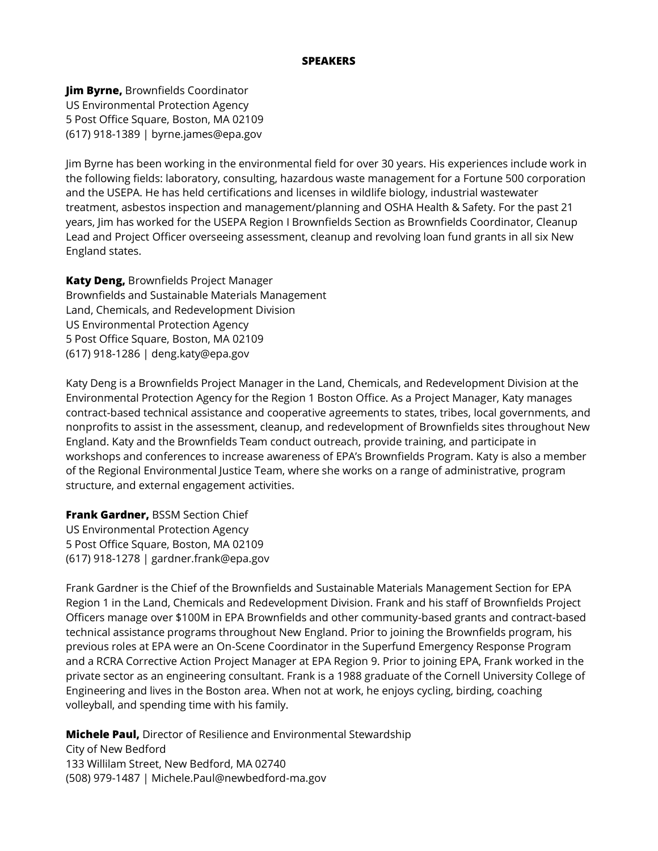#### **SPEAKERS**

**Jim Byrne,** Brownfields Coordinator US Environmental Protection Agency 5 Post Office Square, Boston, MA 02109 (617) 918-1389 | byrne.james@epa.gov

Jim Byrne has been working in the environmental field for over 30 years. His experiences include work in the following fields: laboratory, consulting, hazardous waste management for a Fortune 500 corporation and the USEPA. He has held certifications and licenses in wildlife biology, industrial wastewater treatment, asbestos inspection and management/planning and OSHA Health & Safety. For the past 21 years, Jim has worked for the USEPA Region I Brownfields Section as Brownfields Coordinator, Cleanup Lead and Project Officer overseeing assessment, cleanup and revolving loan fund grants in all six New England states.

**Katy Deng,** Brownfields Project Manager Brownfields and Sustainable Materials Management Land, Chemicals, and Redevelopment Division US Environmental Protection Agency 5 Post Office Square, Boston, MA 02109 (617) 918-1286 | deng.katy@epa.gov

Katy Deng is a Brownfields Project Manager in the Land, Chemicals, and Redevelopment Division at the Environmental Protection Agency for the Region 1 Boston Office. As a Project Manager, Katy manages contract-based technical assistance and cooperative agreements to states, tribes, local governments, and nonprofits to assist in the assessment, cleanup, and redevelopment of Brownfields sites throughout New England. Katy and the Brownfields Team conduct outreach, provide training, and participate in workshops and conferences to increase awareness of EPA's Brownfields Program. Katy is also a member of the Regional Environmental Justice Team, where she works on a range of administrative, program structure, and external engagement activities.

**Frank Gardner,** BSSM Section Chief US Environmental Protection Agency 5 Post Office Square, Boston, MA 02109 (617) 918-1278 | gardner.frank@epa.gov

Frank Gardner is the Chief of the Brownfields and Sustainable Materials Management Section for EPA Region 1 in the Land, Chemicals and Redevelopment Division. Frank and his staff of Brownfields Project Officers manage over \$100M in EPA Brownfields and other community-based grants and contract-based technical assistance programs throughout New England. Prior to joining the Brownfields program, his previous roles at EPA were an On-Scene Coordinator in the Superfund Emergency Response Program and a RCRA Corrective Action Project Manager at EPA Region 9. Prior to joining EPA, Frank worked in the private sector as an engineering consultant. Frank is a 1988 graduate of the Cornell University College of Engineering and lives in the Boston area. When not at work, he enjoys cycling, birding, coaching volleyball, and spending time with his family.

**Michele Paul,** Director of Resilience and Environmental Stewardship

City of New Bedford 133 Willilam Street, New Bedford, MA 02740 (508) 979-1487 | Michele.Paul@newbedford-ma.gov